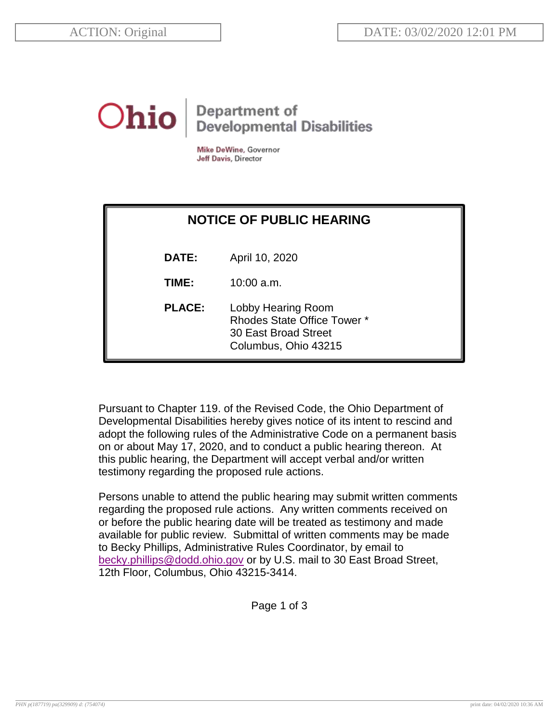## **Department of<br>Developmental Disabilities** Ohio

Mike DeWine, Governor Jeff Davis, Director

| <b>NOTICE OF PUBLIC HEARING</b> |                                                                                                          |
|---------------------------------|----------------------------------------------------------------------------------------------------------|
| DATE:                           | April 10, 2020                                                                                           |
| TIME:                           | $10:00$ a.m.                                                                                             |
| <b>PLACE:</b>                   | Lobby Hearing Room<br><b>Rhodes State Office Tower *</b><br>30 East Broad Street<br>Columbus, Ohio 43215 |

Pursuant to Chapter 119. of the Revised Code, the Ohio Department of Developmental Disabilities hereby gives notice of its intent to rescind and adopt the following rules of the Administrative Code on a permanent basis on or about May 17, 2020, and to conduct a public hearing thereon. At this public hearing, the Department will accept verbal and/or written testimony regarding the proposed rule actions.

Persons unable to attend the public hearing may submit written comments regarding the proposed rule actions. Any written comments received on or before the public hearing date will be treated as testimony and made available for public review. Submittal of written comments may be made to Becky Phillips, Administrative Rules Coordinator, by email to [becky.phillips@dodd.ohio.gov](mailto:becky.phillips@dodd.ohio.gov) or by U.S. mail to 30 East Broad Street, 12th Floor, Columbus, Ohio 43215-3414.

Page 1 of 3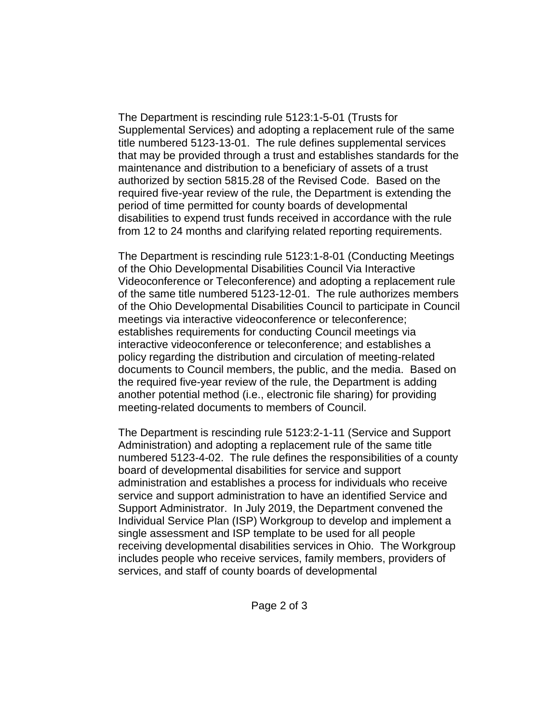The Department is rescinding rule 5123:1-5-01 (Trusts for Supplemental Services) and adopting a replacement rule of the same title numbered 5123-13-01. The rule defines supplemental services that may be provided through a trust and establishes standards for the maintenance and distribution to a beneficiary of assets of a trust authorized by section 5815.28 of the Revised Code. Based on the required five-year review of the rule, the Department is extending the period of time permitted for county boards of developmental disabilities to expend trust funds received in accordance with the rule from 12 to 24 months and clarifying related reporting requirements.

The Department is rescinding rule 5123:1-8-01 (Conducting Meetings of the Ohio Developmental Disabilities Council Via Interactive Videoconference or Teleconference) and adopting a replacement rule of the same title numbered 5123-12-01. The rule authorizes members of the Ohio Developmental Disabilities Council to participate in Council meetings via interactive videoconference or teleconference; establishes requirements for conducting Council meetings via interactive videoconference or teleconference; and establishes a policy regarding the distribution and circulation of meeting-related documents to Council members, the public, and the media. Based on the required five-year review of the rule, the Department is adding another potential method (i.e., electronic file sharing) for providing meeting-related documents to members of Council.

The Department is rescinding rule 5123:2-1-11 (Service and Support Administration) and adopting a replacement rule of the same title numbered 5123-4-02. The rule defines the responsibilities of a county board of developmental disabilities for service and support administration and establishes a process for individuals who receive service and support administration to have an identified Service and Support Administrator. In July 2019, the Department convened the Individual Service Plan (ISP) Workgroup to develop and implement a single assessment and ISP template to be used for all people receiving developmental disabilities services in Ohio. The Workgroup includes people who receive services, family members, providers of services, and staff of county boards of developmental